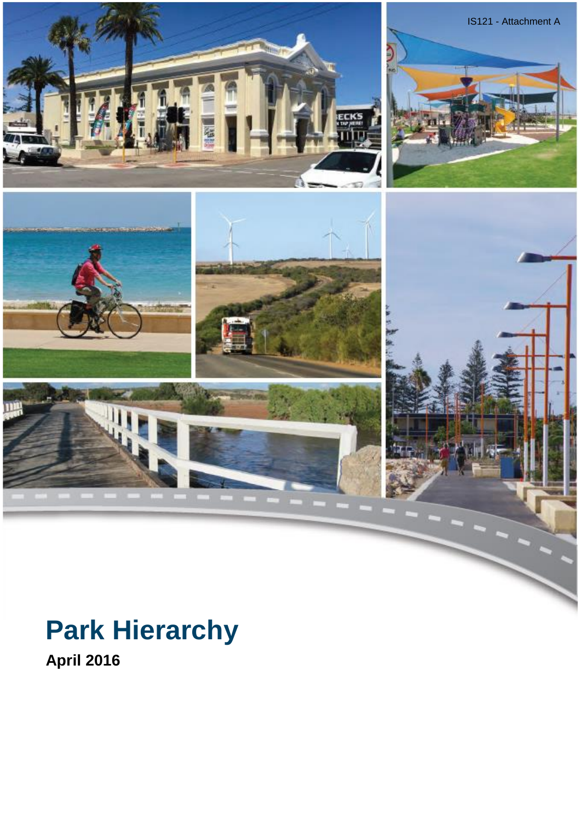

# **Park Hierarchy**

**April 2016**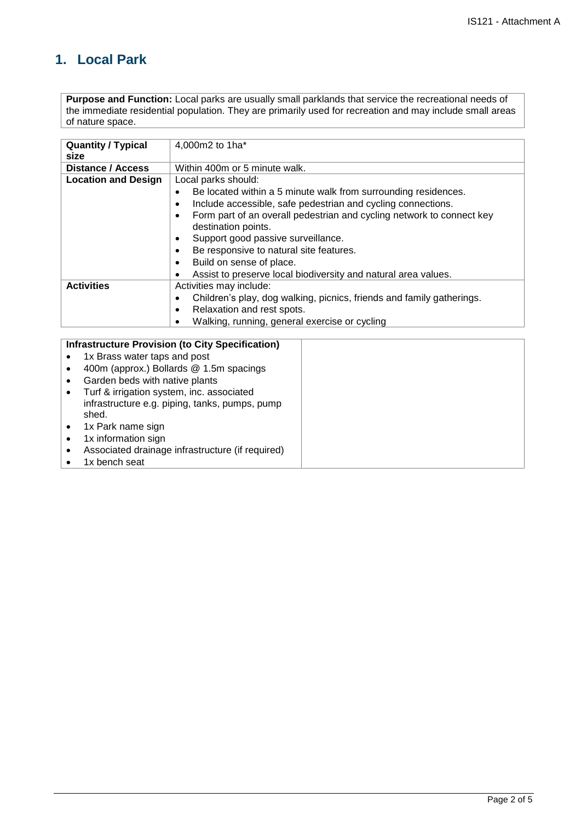### **1. Local Park**

**Purpose and Function:** Local parks are usually small parklands that service the recreational needs of the immediate residential population. They are primarily used for recreation and may include small areas of nature space.

| <b>Quantity / Typical</b>  | 4,000m2 to 1ha*                                                                              |  |  |  |
|----------------------------|----------------------------------------------------------------------------------------------|--|--|--|
|                            |                                                                                              |  |  |  |
| size                       |                                                                                              |  |  |  |
| Distance / Access          | Within 400m or 5 minute walk.                                                                |  |  |  |
| <b>Location and Design</b> | Local parks should:                                                                          |  |  |  |
|                            | Be located within a 5 minute walk from surrounding residences.                               |  |  |  |
|                            | Include accessible, safe pedestrian and cycling connections.                                 |  |  |  |
|                            | Form part of an overall pedestrian and cycling network to connect key<br>destination points. |  |  |  |
|                            | Support good passive surveillance.                                                           |  |  |  |
|                            | Be responsive to natural site features.                                                      |  |  |  |
|                            | Build on sense of place.<br>$\bullet$                                                        |  |  |  |
|                            | Assist to preserve local biodiversity and natural area values.                               |  |  |  |
| <b>Activities</b>          | Activities may include:                                                                      |  |  |  |
|                            | Children's play, dog walking, picnics, friends and family gatherings.                        |  |  |  |
|                            | Relaxation and rest spots.<br>$\bullet$                                                      |  |  |  |
|                            | Walking, running, general exercise or cycling                                                |  |  |  |
|                            |                                                                                              |  |  |  |

#### **Infrastructure Provision (to City Specification)**

- 1x Brass water taps and post
- 400m (approx.) Bollards @ 1.5m spacings
- Garden beds with native plants
- Turf & irrigation system, inc. associated infrastructure e.g. piping, tanks, pumps, pump shed.
- 1x Park name sign
- 1x information sign
- Associated drainage infrastructure (if required)
- 1x bench seat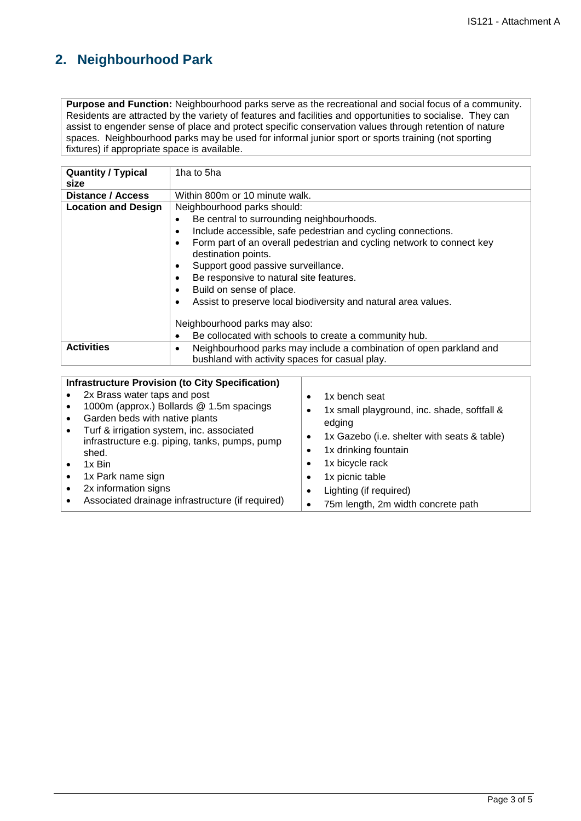## **2. Neighbourhood Park**

**Purpose and Function:** Neighbourhood parks serve as the recreational and social focus of a community. Residents are attracted by the variety of features and facilities and opportunities to socialise. They can assist to engender sense of place and protect specific conservation values through retention of nature spaces. Neighbourhood parks may be used for informal junior sport or sports training (not sporting fixtures) if appropriate space is available.

| <b>Quantity / Typical</b>  | 1ha to 5ha                                                                                                                        |  |  |  |  |  |
|----------------------------|-----------------------------------------------------------------------------------------------------------------------------------|--|--|--|--|--|
| size                       |                                                                                                                                   |  |  |  |  |  |
| <b>Distance / Access</b>   | Within 800m or 10 minute walk.                                                                                                    |  |  |  |  |  |
| <b>Location and Design</b> | Neighbourhood parks should:                                                                                                       |  |  |  |  |  |
|                            | Be central to surrounding neighbourhoods.                                                                                         |  |  |  |  |  |
|                            | Include accessible, safe pedestrian and cycling connections.<br>$\bullet$                                                         |  |  |  |  |  |
|                            | Form part of an overall pedestrian and cycling network to connect key<br>$\bullet$<br>destination points.                         |  |  |  |  |  |
|                            | Support good passive surveillance.<br>$\bullet$                                                                                   |  |  |  |  |  |
|                            | Be responsive to natural site features.<br>$\bullet$                                                                              |  |  |  |  |  |
|                            | Build on sense of place.<br>$\bullet$                                                                                             |  |  |  |  |  |
|                            | Assist to preserve local biodiversity and natural area values.<br>$\bullet$                                                       |  |  |  |  |  |
|                            | Neighbourhood parks may also:                                                                                                     |  |  |  |  |  |
|                            | Be collocated with schools to create a community hub.<br>$\bullet$                                                                |  |  |  |  |  |
| <b>Activities</b>          | Neighbourhood parks may include a combination of open parkland and<br>$\bullet$<br>bushland with activity spaces for casual play. |  |  |  |  |  |
|                            |                                                                                                                                   |  |  |  |  |  |

| <b>Infrastructure Provision (to City Specification)</b><br>2x Brass water taps and post<br>1000m (approx.) Bollards @ 1.5m spacings<br>Garden beds with native plants<br>Turf & irrigation system, inc. associated<br>infrastructure e.g. piping, tanks, pumps, pump<br>shed.<br>$1x \text{ Bin}$<br>1x Park name sign<br>2x information signs<br>Associated drainage infrastructure (if required) | 1x bench seat<br>1x small playground, inc. shade, softfall &<br>٠<br>edging<br>1x Gazebo (i.e. shelter with seats & table)<br>٠<br>1x drinking fountain<br>٠<br>1x bicycle rack<br>٠<br>1x picnic table<br>٠<br>Lighting (if required)<br>75m length, 2m width concrete path<br>٠ |
|----------------------------------------------------------------------------------------------------------------------------------------------------------------------------------------------------------------------------------------------------------------------------------------------------------------------------------------------------------------------------------------------------|-----------------------------------------------------------------------------------------------------------------------------------------------------------------------------------------------------------------------------------------------------------------------------------|
|----------------------------------------------------------------------------------------------------------------------------------------------------------------------------------------------------------------------------------------------------------------------------------------------------------------------------------------------------------------------------------------------------|-----------------------------------------------------------------------------------------------------------------------------------------------------------------------------------------------------------------------------------------------------------------------------------|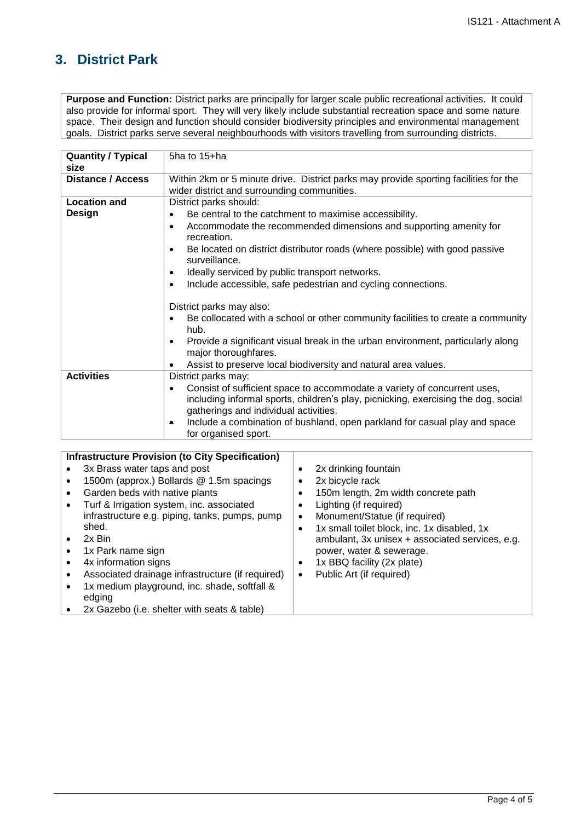# **3. District Park**

**Purpose and Function:** District parks are principally for larger scale public recreational activities. It could also provide for informal sport. They will very likely include substantial recreation space and some nature space. Their design and function should consider biodiversity principles and environmental management goals. District parks serve several neighbourhoods with visitors travelling from surrounding districts.

| <b>Quantity / Typical</b><br>size    | 5ha to 15+ha                                                                                                                                                                                                                                                                                                                                                                                                                                                                                                                                                                                                                                                                                                        |  |  |  |  |
|--------------------------------------|---------------------------------------------------------------------------------------------------------------------------------------------------------------------------------------------------------------------------------------------------------------------------------------------------------------------------------------------------------------------------------------------------------------------------------------------------------------------------------------------------------------------------------------------------------------------------------------------------------------------------------------------------------------------------------------------------------------------|--|--|--|--|
| <b>Distance / Access</b>             | Within 2km or 5 minute drive. District parks may provide sporting facilities for the<br>wider district and surrounding communities.                                                                                                                                                                                                                                                                                                                                                                                                                                                                                                                                                                                 |  |  |  |  |
| <b>Location and</b><br><b>Design</b> | District parks should:<br>Be central to the catchment to maximise accessibility.<br>$\bullet$<br>Accommodate the recommended dimensions and supporting amenity for<br>$\bullet$<br>recreation.<br>Be located on district distributor roads (where possible) with good passive<br>$\bullet$<br>surveillance.<br>Ideally serviced by public transport networks.<br>$\bullet$<br>Include accessible, safe pedestrian and cycling connections.<br>$\bullet$<br>District parks may also:<br>Be collocated with a school or other community facilities to create a community<br>$\bullet$<br>hub.<br>Provide a significant visual break in the urban environment, particularly along<br>$\bullet$<br>major thoroughfares. |  |  |  |  |
| <b>Activities</b>                    | Assist to preserve local biodiversity and natural area values.<br>District parks may:<br>Consist of sufficient space to accommodate a variety of concurrent uses,<br>$\bullet$<br>including informal sports, children's play, picnicking, exercising the dog, social<br>gatherings and individual activities.<br>Include a combination of bushland, open parkland for casual play and space<br>$\bullet$<br>for organised sport.                                                                                                                                                                                                                                                                                    |  |  |  |  |

| ٠ | 3x Brass water taps and post                     | ٠ | 2x drinking fountain                            |
|---|--------------------------------------------------|---|-------------------------------------------------|
|   | 1500m (approx.) Bollards @ 1.5m spacings         | ٠ | 2x bicycle rack                                 |
|   |                                                  |   |                                                 |
|   | Garden beds with native plants                   |   | 150m length, 2m width concrete path             |
|   | Turf & Irrigation system, inc. associated        |   | Lighting (if required)                          |
|   | infrastructure e.g. piping, tanks, pumps, pump   | ٠ | Monument/Statue (if required)                   |
|   | shed.                                            | ٠ | 1x small toilet block, inc. 1x disabled, 1x     |
|   | 2x Bin                                           |   | ambulant, 3x unisex + associated services, e.g. |
|   | 1x Park name sign                                |   | power, water & sewerage.                        |
|   | 4x information signs                             | ٠ | 1x BBQ facility (2x plate)                      |
|   | Associated drainage infrastructure (if required) | ٠ | Public Art (if required)                        |
|   | 1x medium playground, inc. shade, softfall &     |   |                                                 |
|   | edging                                           |   |                                                 |
|   | 2x Gazebo (i.e. shelter with seats & table)      |   |                                                 |